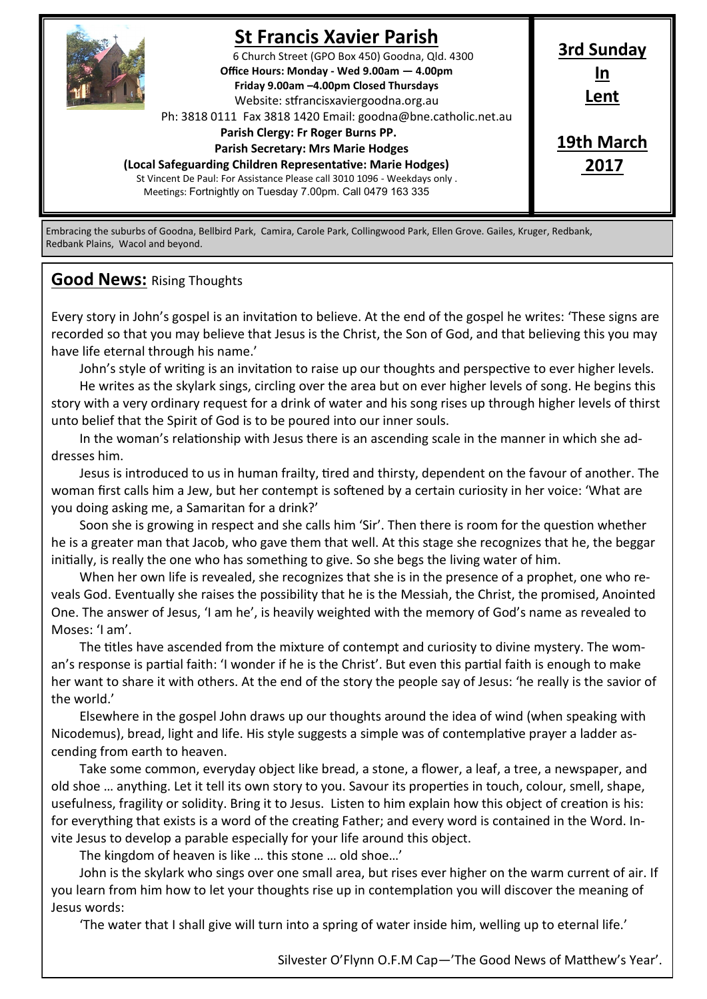

# **St Francis Xavier Parish**

6 Church Street (GPO Box 450) Goodna, Qld. 4300 **Office Hours: Monday - Wed 9.00am — 4.00pm Friday 9.00am –4.00pm Closed Thursdays**  Website: stfrancisxaviergoodna.org.au

Ph: 3818 0111 Fax 3818 1420 Email: goodna@bne.catholic.net.au

 **Parish Clergy: Fr Roger Burns PP.** 

 **Parish Secretary: Mrs Marie Hodges**

**(Local Safeguarding Children Representative: Marie Hodges)** St Vincent De Paul: For Assistance Please call 3010 1096 - Weekdays only . Meetings: Fortnightly on Tuesday 7.00pm. Call 0479 163 335

**Lent 19th March 2017**

**3rd Sunday In**

Embracing the suburbs of Goodna, Bellbird Park, Camira, Carole Park, Collingwood Park, Ellen Grove. Gailes, Kruger, Redbank, Redbank Plains, Wacol and beyond.

### **Good News:** Rising Thoughts

Every story in John's gospel is an invitation to believe. At the end of the gospel he writes: 'These signs are recorded so that you may believe that Jesus is the Christ, the Son of God, and that believing this you may have life eternal through his name.'

John's style of writing is an invitation to raise up our thoughts and perspective to ever higher levels. He writes as the skylark sings, circling over the area but on ever higher levels of song. He begins this story with a very ordinary request for a drink of water and his song rises up through higher levels of thirst unto belief that the Spirit of God is to be poured into our inner souls.

In the woman's relationship with Jesus there is an ascending scale in the manner in which she addresses him.

Jesus is introduced to us in human frailty, tired and thirsty, dependent on the favour of another. The woman first calls him a Jew, but her contempt is softened by a certain curiosity in her voice: 'What are you doing asking me, a Samaritan for a drink?'

Soon she is growing in respect and she calls him 'Sir'. Then there is room for the question whether he is a greater man that Jacob, who gave them that well. At this stage she recognizes that he, the beggar initially, is really the one who has something to give. So she begs the living water of him.

When her own life is revealed, she recognizes that she is in the presence of a prophet, one who reveals God. Eventually she raises the possibility that he is the Messiah, the Christ, the promised, Anointed One. The answer of Jesus, 'I am he', is heavily weighted with the memory of God's name as revealed to Moses: 'I am'.

The titles have ascended from the mixture of contempt and curiosity to divine mystery. The woman's response is partial faith: 'I wonder if he is the Christ'. But even this partial faith is enough to make her want to share it with others. At the end of the story the people say of Jesus: 'he really is the savior of the world.'

Elsewhere in the gospel John draws up our thoughts around the idea of wind (when speaking with Nicodemus), bread, light and life. His style suggests a simple was of contemplative prayer a ladder ascending from earth to heaven.

Take some common, everyday object like bread, a stone, a flower, a leaf, a tree, a newspaper, and old shoe … anything. Let it tell its own story to you. Savour its properties in touch, colour, smell, shape, usefulness, fragility or solidity. Bring it to Jesus. Listen to him explain how this object of creation is his: for everything that exists is a word of the creating Father; and every word is contained in the Word. Invite Jesus to develop a parable especially for your life around this object.

The kingdom of heaven is like … this stone … old shoe…'

John is the skylark who sings over one small area, but rises ever higher on the warm current of air. If you learn from him how to let your thoughts rise up in contemplation you will discover the meaning of Jesus words:

'The water that I shall give will turn into a spring of water inside him, welling up to eternal life.'

Silvester O'Flynn O.F.M Cap—'The Good News of Matthew's Year'.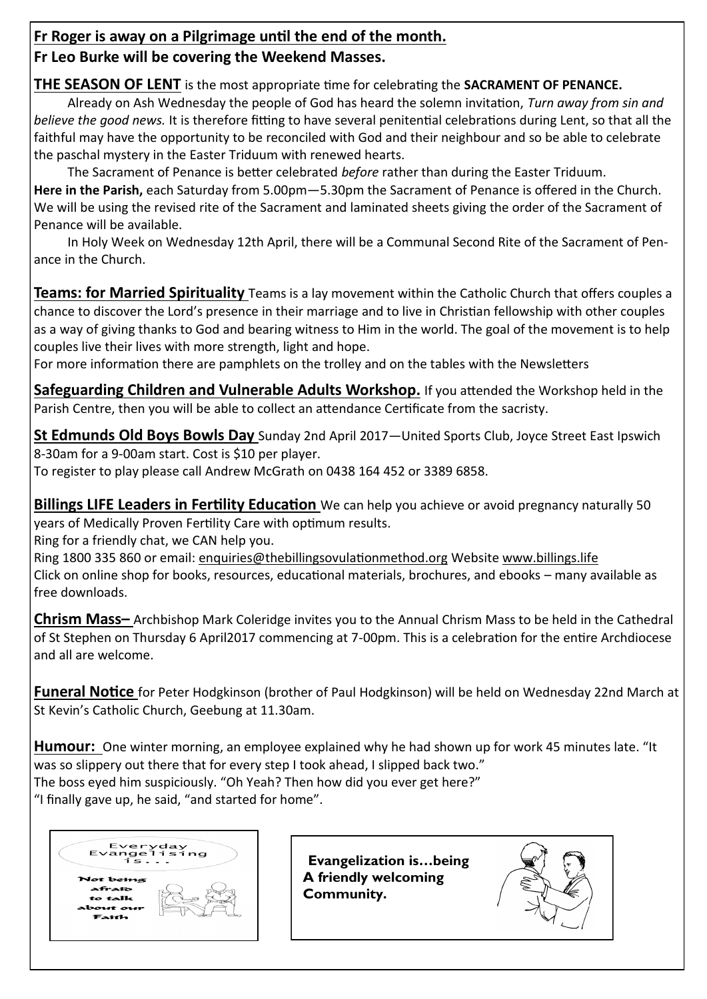### **Fr Roger is away on a Pilgrimage until the end of the month.**

## **Fr Leo Burke will be covering the Weekend Masses.**

**THE SEASON OF LENT** is the most appropriate time for celebrating the **SACRAMENT OF PENANCE.**

Already on Ash Wednesday the people of God has heard the solemn invitation, *Turn away from sin and believe the good news.* It is therefore fitting to have several penitential celebrations during Lent, so that all the faithful may have the opportunity to be reconciled with God and their neighbour and so be able to celebrate the paschal mystery in the Easter Triduum with renewed hearts.

The Sacrament of Penance is better celebrated *before* rather than during the Easter Triduum. **Here in the Parish,** each Saturday from 5.00pm—5.30pm the Sacrament of Penance is offered in the Church. We will be using the revised rite of the Sacrament and laminated sheets giving the order of the Sacrament of Penance will be available.

In Holy Week on Wednesday 12th April, there will be a Communal Second Rite of the Sacrament of Penance in the Church.

**Teams: for Married Spirituality** Teams is a lay movement within the Catholic Church that offers couples a chance to discover the Lord's presence in their marriage and to live in Christian fellowship with other couples as a way of giving thanks to God and bearing witness to Him in the world. The goal of the movement is to help couples live their lives with more strength, light and hope.

For more information there are pamphlets on the trolley and on the tables with the Newsletters

**Safeguarding Children and Vulnerable Adults Workshop.** If you attended the Workshop held in the Parish Centre, then you will be able to collect an attendance Certificate from the sacristy.

**St Edmunds Old Boys Bowls Day** Sunday 2nd April 2017—United Sports Club, Joyce Street East Ipswich 8-30am for a 9-00am start. Cost is \$10 per player.

To register to play please call Andrew McGrath on 0438 164 452 or 3389 6858.

**Billings LIFE Leaders in Fertility Education** We can help you achieve or avoid pregnancy naturally 50 years of Medically Proven Fertility Care with optimum results.

Ring for a friendly chat, we CAN help you.

Ring 1800 335 860 or email: enquiries@thebillingsovulationmethod.org Website www.billings.life Click on online shop for books, resources, educational materials, brochures, and ebooks – many available as free downloads.

**Chrism Mass–** Archbishop Mark Coleridge invites you to the Annual Chrism Mass to be held in the Cathedral of St Stephen on Thursday 6 April2017 commencing at 7-00pm. This is a celebration for the entire Archdiocese and all are welcome.

**Funeral Notice** for Peter Hodgkinson (brother of Paul Hodgkinson) will be held on Wednesday 22nd March at St Kevin's Catholic Church, Geebung at 11.30am.

**Humour:** One winter morning, an employee explained why he had shown up for work 45 minutes late. "It was so slippery out there that for every step I took ahead, I slipped back two."

The boss eyed him suspiciously. "Oh Yeah? Then how did you ever get here?"

"I finally gave up, he said, "and started for home".



 **Evangelization is…being A friendly welcoming Community.**

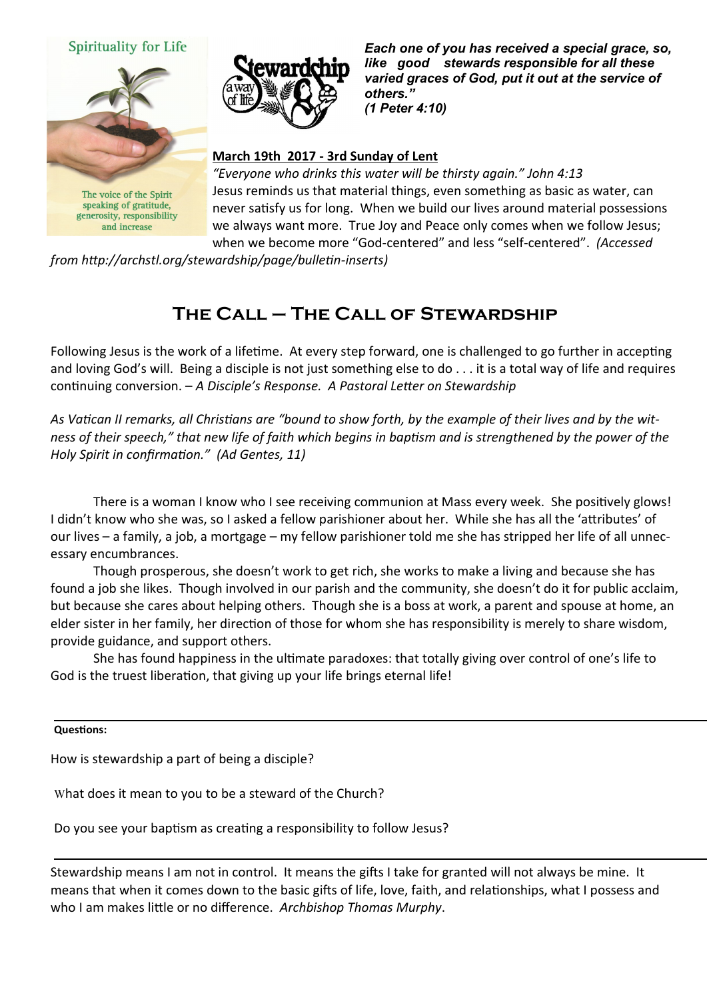



speaking of gratitude, generosity, responsibility and increase

*Each one of you has received a special grace, so, like good stewards responsible for all these varied graces of God, put it out at the service of others." (1 Peter 4:10)* 

### **March 19th 2017 - 3rd Sunday of Lent**

*"Everyone who drinks this water will be thirsty again." John 4:13*  Jesus reminds us that material things, even something as basic as water, can never satisfy us for long. When we build our lives around material possessions we always want more. True Joy and Peace only comes when we follow Jesus; when we become more "God-centered" and less "self-centered". *(Accessed* 

*from http://archstl.org/stewardship/page/bulletin-inserts)*

# **The Call – The Call of Stewardship**

Following Jesus is the work of a lifetime. At every step forward, one is challenged to go further in accepting and loving God's will. Being a disciple is not just something else to do . . . it is a total way of life and requires continuing conversion. – *A Disciple's Response. A Pastoral Letter on Stewardship*

*As Vatican II remarks, all Christians are "bound to show forth, by the example of their lives and by the witness of their speech," that new life of faith which begins in baptism and is strengthened by the power of the Holy Spirit in confirmation." (Ad Gentes, 11)*

There is a woman I know who I see receiving communion at Mass every week. She positively glows! I didn't know who she was, so I asked a fellow parishioner about her. While she has all the 'attributes' of our lives – a family, a job, a mortgage – my fellow parishioner told me she has stripped her life of all unnecessary encumbrances.

Though prosperous, she doesn't work to get rich, she works to make a living and because she has found a job she likes. Though involved in our parish and the community, she doesn't do it for public acclaim, but because she cares about helping others. Though she is a boss at work, a parent and spouse at home, an elder sister in her family, her direction of those for whom she has responsibility is merely to share wisdom, provide guidance, and support others.

She has found happiness in the ultimate paradoxes: that totally giving over control of one's life to God is the truest liberation, that giving up your life brings eternal life!

#### **Questions:**

How is stewardship a part of being a disciple?

What does it mean to you to be a steward of the Church?

Do you see your baptism as creating a responsibility to follow Jesus?

Stewardship means I am not in control. It means the gifts I take for granted will not always be mine. It means that when it comes down to the basic gifts of life, love, faith, and relationships, what I possess and who I am makes little or no difference. *Archbishop Thomas Murphy*.